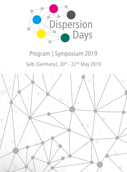

# Program | Symposium 2019 Selb (Germany), 20<sup>th</sup> - 22<sup>nd</sup> May 2019

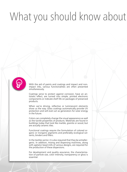# What you should know about



With the aid of paints and coatings and impact and nonimpact inks, various functionalities are often presented simultaneously.

Coatings serve to protect against corrosion, have an antistatic effect, are turned into simple, printed electronic components or indicate shelf life on packages of preserved products.

When we're driving, reflective or luminescent elements show us the way. Glass coatings automatically provide UV protection and will even act as generators for solar energy in the future.

Colors can completely change the visual appearance as well as the tactile properties of products. Materials are found in buildings today that look like marble, granite or wood, but are actually ceramic tiles.

Functional coatings require the formulation of colored organic or inorganic pigments and preferably ecological solvents, binders and fillers.

In the textiles sector, it is also required that they be antiallergenic. In addition, mixing and dispersing machines, along with agitator bead mills of various designs, are required for the production of these dispersions.

For development and quality assurance, the characterization of particle size, color intensity, transparency or gloss is essential.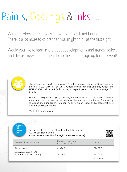# Paints, Coatings & Inks ...

Without colors our everyday life would be dull and boring. There is a lot more to colors than you might think at the first sight.

Would you like to learn more about developments and trends, collect and discuss new ideas? Then do not hesitate to sign up for the event!



The Institute for Particle Technology (IPAT), the European Center for Dispersion Technologies (EZD), Malvern Panalytical GmbH, Evonik Resource Efficiency GmbH and NETZSCH-Feinmahltechnik GmbH invite you to participate at the Dispersion Days 2019 in Selb.

During the Dispersion Days symposium, we would like to discuss various developments and trends as well as the needs for the practice of the future. The meeting should help to bring experts in various fields from universities and colleges, institutes and industry closer together.

We look forward to you!



To sign up please use the QR code or the following link: www.dispersion-days.de Please note the **deadline for registration (08.05.2019)**



| Fees and discount structure                            | Universities, colleges,<br>research facilities etc. | Industry          |
|--------------------------------------------------------|-----------------------------------------------------|-------------------|
| Attendance fee                                         | 450.00 €                                            | 900.00 $\in$      |
| Corporate discount 15 %<br>> 10 persons of one company | 382.00 €                                            | 765.00€           |
|                                                        |                                                     | Prices per person |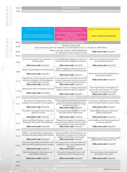## 19.00 **WELCOME DINNER**

| ť |  |
|---|--|
|   |  |
|   |  |
|   |  |
|   |  |
|   |  |
|   |  |

|       | Session I - Roland Dorschner Hall                                                                                                                       | Session II - Room Erwin Weber                                                                                                                                                 | Session III - Roland Dorschner Hall Restaurant                                                                                                  |
|-------|---------------------------------------------------------------------------------------------------------------------------------------------------------|-------------------------------------------------------------------------------------------------------------------------------------------------------------------------------|-------------------------------------------------------------------------------------------------------------------------------------------------|
|       | PRODUCTION AND PROCESSING OF<br>PAINTS, COATINGS AND PRINTING INKS                                                                                      | <b>CHARACTERIZATION AND PARTICLE SIZE</b><br><b>DISTRIBUTION</b><br>FORMULATIONS, FUNCTIONALIZATION<br><b>THROUGH ADDITIVES</b>                                               | <b>BASIC COURSES &amp; WORKSHOPS</b>                                                                                                            |
| 08.00 |                                                                                                                                                         | <b>ENTRY &amp; START REGISTRATION</b>                                                                                                                                         |                                                                                                                                                 |
| 08.30 |                                                                                                                                                         | <b>OPENING &amp; WELCOME</b><br>Short welcoming speech (D. Makrakis, Dr. M. Wingfield, Prof. Dr. A. Kwade, Dr. Wolff-Fabris)                                                  |                                                                                                                                                 |
| 08:50 |                                                                                                                                                         | IMPULS LECTURE "DIGITAL TRANSFORMATION"<br>Dr. Jörg Karas, Schwan-Stabilo Cometics                                                                                            | Slido event code: Ddays001                                                                                                                      |
| 09.30 |                                                                                                                                                         | <b>COFFEE BREAK</b>                                                                                                                                                           |                                                                                                                                                 |
| 10.00 | Use of jet grinding for the production of<br>matting agents                                                                                             | Knowledge based strategy to improve ef-<br>ficiency & quality of dispersion processes                                                                                         | Influence of operating parameters in<br>wet grinding processes                                                                                  |
|       | Slido event code: Ddays002                                                                                                                              | Slido event code: Ddays020                                                                                                                                                    | Slido event code: Ddays038                                                                                                                      |
| 10.45 | Titanium dioxide dispersion fundamentals                                                                                                                | High throughput experimentation for<br>efficient optimization of grinding steps                                                                                               |                                                                                                                                                 |
|       | Slido event code: Ddays003                                                                                                                              | Slido event code: Ddays021                                                                                                                                                    | Mechanisms of particle stabilization in<br>coating formulations                                                                                 |
| 11.15 | Optimization of ink production processes<br>with the combination of inline-disperser<br>EPSILON & recirculation mill NEOS<br>Slido event code: Ddays004 | A new approach to the determination of<br>the size, shape and chemical structure of<br>particles in a multi component mixture<br>Slido event code: Ddays022                   | Slido event code: Ddays039                                                                                                                      |
| 11.45 | Optimization of the ink dispersion process<br>Slido event code: Ddays005                                                                                | Selection criteria of wetting & dispersing<br>additives beyond coloristic properties<br>Slido event code: Ddays023                                                            | Thermogravimetric investigation of<br>particle size and dispersion of a flame<br>retardant in epoxy resin samples<br>Slido event code: Ddays040 |
| 12.15 |                                                                                                                                                         | <b>LUNCH TIME</b>                                                                                                                                                             |                                                                                                                                                 |
| 13.15 | The influence of dispersion & surface<br>treatment on properties of TiO <sub>2</sub> pigments<br>Slido event code: Ddays006                             | How to improve development & quality<br>control of dispersion paints by using<br>particle size characterization & image<br>analysis instruments<br>Slido event code: Ddays024 | The basics of rheology: flow and defor-<br>mation of elastic liquids & viscous solids<br>Slido event code: Ddays041                             |
| 13.45 | Principles in nanoparticulate dispersing<br>- effect of viscosity                                                                                       | Assessing stressing conditions in mills<br>by single particle experiments                                                                                                     | Optimizing rheology for paint and<br>coating applications                                                                                       |
|       | Slido event code: Ddays007                                                                                                                              | Slido event code: Ddays025                                                                                                                                                    | Slido event code: Ddays042                                                                                                                      |
| 14.15 | Mirror and chrome finishes - solutions &<br>challenges with metallic effect pigments                                                                    | Productivity increase in the dispersion<br>process through efficient process control<br>with liquid paint color measurement                                                   | Use of additives from the perspective of<br>a coatings producer                                                                                 |
|       | <b>Slido event code: Ddays008</b>                                                                                                                       | <b>Slido event code: Ddays026</b>                                                                                                                                             | Slido event code: Ddays043                                                                                                                      |
| 14.45 |                                                                                                                                                         | <b>COFFEE BREAK</b>                                                                                                                                                           |                                                                                                                                                 |
| 15.15 | APPtec - a new generation of spray pyroly-<br>sis to generate advanced powder materials                                                                 | Rapid and high resolution particle size<br>distribution measurement & chemical<br>analysis with electron microscopy                                                           | Pre-dispersing processes of high viscose                                                                                                        |
|       | Slido event code: Ddays009                                                                                                                              | Slido event code: Ddays027                                                                                                                                                    | mill bases with large batch sizes                                                                                                               |
| 15.45 | Advanced dispersibility test for fillers with<br>three roll mills & realtime process analysis                                                           | Wet measurements with laser diffraction:<br>suitable for ink jet inks & agglomerate<br>detection?                                                                             | Slido event code: Ddays044                                                                                                                      |
|       | Slido event code: Ddays010                                                                                                                              | Slido event code: Ddays028                                                                                                                                                    |                                                                                                                                                 |
| 16.15 | New technology for high viscous and<br>heat sensitive products                                                                                          | Life cycle of nanoparticle sols in the<br>industrial Sol-Gel coating process                                                                                                  | Seriously, always those bead mills!<br>"A blessing and a curse!"                                                                                |
|       | <b>Slido event code: Ddays011</b>                                                                                                                       | Slido event code: Ddays029                                                                                                                                                    | Slido event code: Ddays045                                                                                                                      |
| 16.45 |                                                                                                                                                         | <b>VISITING TOURS OF EZD</b>                                                                                                                                                  |                                                                                                                                                 |

19.00 **GET TOGETHER – BAVARIAN EVENING**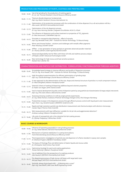### PRODUCTION AND PROCESSING OF PAINTS, COATINGS AND PRINTING INKS

| $10.00 - 10.45$ | Use of jet grinding for the production of matting agents<br>Dr. rer. nat. Thomas Klotzbach   Evonik Resource Efficiency GmbH                                                                 |
|-----------------|----------------------------------------------------------------------------------------------------------------------------------------------------------------------------------------------|
| $10.45 - 11.15$ | Titanium dioxide dispersion fundamentals<br>Dipl. Ing. Martin Sandrock   Kronos International, Inc.                                                                                          |
| $11.15 - 11.45$ | Optimization of ink production processes with the combination of inline-disperser EPSILON & recirculation mill NEOS<br>Alex Lauke   NETZSCH-Feinmahltechnik GmbH                             |
| $11.45 - 12.15$ | Optimization of the ink dispersion process<br>Dr.-Ing. Hans-Henning Stender   Siegwerk Druckfarben AG & Co. KGaA                                                                             |
| 13.15 - 13.45   | The influence of dispersion and surface treatment on properties of TiO, pigments<br>Dr. Nika Veronovski   CINKARNA Celje d.d.                                                                |
| 13.45 - 14.15   | Principles in nanoparticulate dispersing - effect of viscosity<br>Dipl. Ing. Benedikt Finke   iPAT - Institute for Particle Technology, TU Braunschweig                                      |
| 14.15 - 14.45   | Mirror and chrome finishes - solutions and challenges with metallic effect pigments<br>Peter Wissling   ECKART GmbH                                                                          |
| $15.15 - 15.45$ | APPtec - a new generation of spray pyrolysis to generate advanced powder materials<br>Dr. Thomas Jähnert   Glatt Ingenieurtechnik GmbH                                                       |
| $15.45 - 16.15$ | Advanced dispersibility test for fillers with three roll mills and realtime process analysis<br>Ulf Köpke   EXAKT Advanced Technologies GmbH                                                 |
| $16.15 - 16.45$ | New technology for high viscous and heat sensitive products<br>Norbert Kern   Bühler AG                                                                                                      |
|                 |                                                                                                                                                                                              |
|                 | CHARACTERIZATION AND PARTICLE SIZE DISTRIBUTION - FORMULATIONS, FUNCTIONALIZATION THROUGH ADDITIVES                                                                                          |
| $10.00 - 10.45$ | Knowledge based strategy to improve efficiency and quality of dispersion processes<br>Prof. Dr.-Ing. Arno Kwade   iPAT - Institute for Particle Technology, TU Braunschweig                  |
| $10.45 - 11.15$ | High throughput experimentation for efficient optimization of grinding steps<br>Dipl. Ing. Claudia Bramlage   Evonik Resource Efficiency GmbH                                                |
| $11.15 - 11.45$ | A new approach to the determination of the size, shape and chemical structure of particles in a multi component mixture<br>Dr. Mark Wingfield   Malvern Panalytical GmbH                     |
| $11.45 - 12.15$ | Selection criteria of wetting & dispersing additives beyond coloristic properties<br>Dr. Robin von Hagen   BYK-Chemie GmbH                                                                   |
| 13.15 - 13.45   | How to improve development & quality control of dispersion paints by using particle size characterization & image analysis instruments<br>Dipl. Ing. (FH) Lilian Arbenz   Micromeritics GmbH |
| 13.45 - 14.15   | Assessing stressing conditions im mills by single particle experiments<br>Dr.-Ing. Stefan Romeis   Institute of Particle Technology Erlangen (LFG), FAU Erlangen-Nürnberg                    |
| 14.15 - 14.45   | Productivity increase in the dispersion process through efficient process control with liquid paint color measurement<br>Dipl. Chem.-Ing. Hendrik Hustert   ORONTEC GmbH & Co KG             |
| $15.15 - 15.45$ | Rapid and high resolution particle size distribution measurement and chemical analysis with electron microscopy<br>Carsten Pape   Thermo Fisher Scientific                                   |
| $15.45 - 16.15$ | Wet measurements with laser diffraction: suitable for ink jet inks and agglomerate detection?<br>Andreas Ludwig   Malvern Panalytical GmbH                                                   |
| $16.15 - 16.45$ | Life cycle of nanoparticle sols in the industrial Sol-Gel coating process<br>Dr. Nikolay Podgaynyy   GBneuhaus GmbH                                                                          |
|                 | <b>BASIC COURSES &amp; WORKSHOPS</b>                                                                                                                                                         |
| $10.00 - 10.45$ | Influence of operating parameters in wet grinding processes<br>Dr.-Ing. Stefan Mende   NETZSCH-Feinmahltechnik GmbH                                                                          |
| $10.45 - 11.45$ | Mechanisms of particle stabilization in coating formulations<br>Frank Kleinsteinberg   Evonik Resource Efficiency GmbH                                                                       |
| $11.45 - 12.15$ | Thermogravimetric investigation of particle size and dispersion of a flame retardant in epoxy resin samples<br>Dr. Ekkehard Füglein   NETZSCH-Gerätebau GmbH                                 |

- 13.15 13.45 The basics of rheology: flow and deformation of elastic liquids and viscous solids *Dr. Christopher Giehl | Anton Paar GmbH*
- 13.45 14.15 Optimizing rheology for paint and coating applications *Torsten Remmler | Malvern Panalytical GmbH*
- 14.15 14.45 Use of additives from the perspective of a coatings producer *Udo Hautsch | NETZSCH-Feinmahltechnik GmbH*
- 15.15 16.15 Pre-dispersing processes of high viscose mill bases with large batch sizes *Michael Rappl | NETZSCH-Feinmahltechnik GmbH*
- 16.15 16.45 Seriously, always those bead mills! "A blessing and a curse!"<br>*Dipl.-Ing. Uwe Wolff | UWE-Uwe Wolff Engineering GmbH*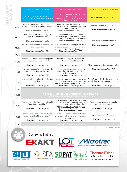| <b>CHARACTERIZATION AND PARTICLE SIZE</b><br>PRODUCTION AND PROCESSING OF<br><b>DISTRIBUTION</b><br>PAINTS, COATINGS AND PRINTING INKS<br>FORMULATIONS, FUNCTIONALIZATION<br><b>THROUGH ADDITIVES</b><br>How simulations can assist the design<br>Characterization of the particle size in<br>and optimization of dispersion processes<br>submicron & nanometer range during<br>08.30<br>dispersion processes<br>Slido event code: Ddays030<br>Slido event code: Ddays012<br>Versatile production of silica glass<br>Combination of laser diffraction &<br>flakes in stirred media mills<br>dynamic image analysis for size & shape<br>09.15<br>characterization of dispersions & powders<br>Slido event code: Ddays031<br>Slido event code: Ddays013<br>Selection of the optimum bead mill for<br>Inline characterization of particle size &<br>paint production<br>shape for process control using the ex-<br>09.45<br>ample of battery slurries & cocoa liquor<br>Slido event code: Ddays032<br>Slido event code: Ddays014<br>10.15<br><b>COFFEE BREAK</b><br>Performance improvement of pigment<br>Powder rheology as a method for<br>development & quality control<br>preparations via intensified milling<br>11.00<br>Slido event code: Ddays015<br>Slido event code: Ddays033<br>A multi-method approach to quality<br>Fine ceramic beads to get nanoparticles<br>control illustrated on the industrial<br>- more than just an auxiliary good<br>11.30<br>powder coating process<br>Slido event code: Ddays016<br>Slido event code: Ddays034<br>New media for ultra-fine dispersing and<br>Alternative route for incorporation of an<br>ethanol-based silica suspension in epoxy<br>milling<br>12.00<br>resin by means of spray-drying technology<br>Slido event code: Ddays035<br>Slido event code: Ddays017<br><b>LUNCH TIME</b><br>12.30<br>VISITING ASSEMBLY OR LABORATORIES WITH DEMONSTRATION<br>13.30<br>(PRODUCTION, LABORATORIES, ANALYZING & TESTING)<br>Physicochemical characteristics of fine<br>Possibilities and difficulties in using rCB<br>iron oxide-particles prepared via pul-<br>(recycling carbon black)<br>sation reactor & study the effect of the<br>production concepts<br>14.30<br>material processing parameter on the<br>properties of the produced powder<br>Slido event code: Ddays018<br>Slido event code: Ddays036<br>Recycling of solvents using distillation -<br>Dry powder measurements with laser<br>principle, profitability and integration<br>diffraction on the example of pigments<br>15.00<br>and extenders<br>Slido event code: Ddays037<br>Slido event code: Ddays019 | Session I - Roland Dorschner Hall | Session II - Room Erwin Weber | Session III - Roland Dorschner Hall Restaurant                                                                    |
|-----------------------------------------------------------------------------------------------------------------------------------------------------------------------------------------------------------------------------------------------------------------------------------------------------------------------------------------------------------------------------------------------------------------------------------------------------------------------------------------------------------------------------------------------------------------------------------------------------------------------------------------------------------------------------------------------------------------------------------------------------------------------------------------------------------------------------------------------------------------------------------------------------------------------------------------------------------------------------------------------------------------------------------------------------------------------------------------------------------------------------------------------------------------------------------------------------------------------------------------------------------------------------------------------------------------------------------------------------------------------------------------------------------------------------------------------------------------------------------------------------------------------------------------------------------------------------------------------------------------------------------------------------------------------------------------------------------------------------------------------------------------------------------------------------------------------------------------------------------------------------------------------------------------------------------------------------------------------------------------------------------------------------------------------------------------------------------------------------------------------------------------------------------------------------------------------------------------------------------------------------------------------------------------------------------------------------------------------------------------------------------------------------------------------------------------------------------------------------------------------------------------------------------------------------------------------------------------------------------------------------|-----------------------------------|-------------------------------|-------------------------------------------------------------------------------------------------------------------|
|                                                                                                                                                                                                                                                                                                                                                                                                                                                                                                                                                                                                                                                                                                                                                                                                                                                                                                                                                                                                                                                                                                                                                                                                                                                                                                                                                                                                                                                                                                                                                                                                                                                                                                                                                                                                                                                                                                                                                                                                                                                                                                                                                                                                                                                                                                                                                                                                                                                                                                                                                                                                                             |                                   |                               | <b>BASIC COURSES &amp; WORKSHOPS</b>                                                                              |
|                                                                                                                                                                                                                                                                                                                                                                                                                                                                                                                                                                                                                                                                                                                                                                                                                                                                                                                                                                                                                                                                                                                                                                                                                                                                                                                                                                                                                                                                                                                                                                                                                                                                                                                                                                                                                                                                                                                                                                                                                                                                                                                                                                                                                                                                                                                                                                                                                                                                                                                                                                                                                             |                                   |                               | nanolnk - more than just colours<br>Slido event code: Ddays046                                                    |
|                                                                                                                                                                                                                                                                                                                                                                                                                                                                                                                                                                                                                                                                                                                                                                                                                                                                                                                                                                                                                                                                                                                                                                                                                                                                                                                                                                                                                                                                                                                                                                                                                                                                                                                                                                                                                                                                                                                                                                                                                                                                                                                                                                                                                                                                                                                                                                                                                                                                                                                                                                                                                             |                                   |                               | Color measurement techniques                                                                                      |
|                                                                                                                                                                                                                                                                                                                                                                                                                                                                                                                                                                                                                                                                                                                                                                                                                                                                                                                                                                                                                                                                                                                                                                                                                                                                                                                                                                                                                                                                                                                                                                                                                                                                                                                                                                                                                                                                                                                                                                                                                                                                                                                                                                                                                                                                                                                                                                                                                                                                                                                                                                                                                             |                                   |                               | Slido event code: Ddays047                                                                                        |
|                                                                                                                                                                                                                                                                                                                                                                                                                                                                                                                                                                                                                                                                                                                                                                                                                                                                                                                                                                                                                                                                                                                                                                                                                                                                                                                                                                                                                                                                                                                                                                                                                                                                                                                                                                                                                                                                                                                                                                                                                                                                                                                                                                                                                                                                                                                                                                                                                                                                                                                                                                                                                             |                                   |                               |                                                                                                                   |
|                                                                                                                                                                                                                                                                                                                                                                                                                                                                                                                                                                                                                                                                                                                                                                                                                                                                                                                                                                                                                                                                                                                                                                                                                                                                                                                                                                                                                                                                                                                                                                                                                                                                                                                                                                                                                                                                                                                                                                                                                                                                                                                                                                                                                                                                                                                                                                                                                                                                                                                                                                                                                             |                                   |                               |                                                                                                                   |
|                                                                                                                                                                                                                                                                                                                                                                                                                                                                                                                                                                                                                                                                                                                                                                                                                                                                                                                                                                                                                                                                                                                                                                                                                                                                                                                                                                                                                                                                                                                                                                                                                                                                                                                                                                                                                                                                                                                                                                                                                                                                                                                                                                                                                                                                                                                                                                                                                                                                                                                                                                                                                             |                                   |                               | A basic guide to particle characterization                                                                        |
|                                                                                                                                                                                                                                                                                                                                                                                                                                                                                                                                                                                                                                                                                                                                                                                                                                                                                                                                                                                                                                                                                                                                                                                                                                                                                                                                                                                                                                                                                                                                                                                                                                                                                                                                                                                                                                                                                                                                                                                                                                                                                                                                                                                                                                                                                                                                                                                                                                                                                                                                                                                                                             |                                   |                               | Slido event code: Ddays048                                                                                        |
|                                                                                                                                                                                                                                                                                                                                                                                                                                                                                                                                                                                                                                                                                                                                                                                                                                                                                                                                                                                                                                                                                                                                                                                                                                                                                                                                                                                                                                                                                                                                                                                                                                                                                                                                                                                                                                                                                                                                                                                                                                                                                                                                                                                                                                                                                                                                                                                                                                                                                                                                                                                                                             |                                   |                               | Pump Search 4.0 - SPA the new informa-<br>tion platform for professional pump users<br>Slido event code: Ddays049 |
|                                                                                                                                                                                                                                                                                                                                                                                                                                                                                                                                                                                                                                                                                                                                                                                                                                                                                                                                                                                                                                                                                                                                                                                                                                                                                                                                                                                                                                                                                                                                                                                                                                                                                                                                                                                                                                                                                                                                                                                                                                                                                                                                                                                                                                                                                                                                                                                                                                                                                                                                                                                                                             |                                   |                               |                                                                                                                   |
|                                                                                                                                                                                                                                                                                                                                                                                                                                                                                                                                                                                                                                                                                                                                                                                                                                                                                                                                                                                                                                                                                                                                                                                                                                                                                                                                                                                                                                                                                                                                                                                                                                                                                                                                                                                                                                                                                                                                                                                                                                                                                                                                                                                                                                                                                                                                                                                                                                                                                                                                                                                                                             |                                   |                               |                                                                                                                   |
|                                                                                                                                                                                                                                                                                                                                                                                                                                                                                                                                                                                                                                                                                                                                                                                                                                                                                                                                                                                                                                                                                                                                                                                                                                                                                                                                                                                                                                                                                                                                                                                                                                                                                                                                                                                                                                                                                                                                                                                                                                                                                                                                                                                                                                                                                                                                                                                                                                                                                                                                                                                                                             |                                   |                               | Transition from regular to modular<br>Slido event code: Ddays050                                                  |
|                                                                                                                                                                                                                                                                                                                                                                                                                                                                                                                                                                                                                                                                                                                                                                                                                                                                                                                                                                                                                                                                                                                                                                                                                                                                                                                                                                                                                                                                                                                                                                                                                                                                                                                                                                                                                                                                                                                                                                                                                                                                                                                                                                                                                                                                                                                                                                                                                                                                                                                                                                                                                             |                                   |                               | Open discussion with experts<br>Slido event code: Ddays051                                                        |
| <b>OPEN DISCUSSION TO DIGITAL TRENDS</b><br>15.30                                                                                                                                                                                                                                                                                                                                                                                                                                                                                                                                                                                                                                                                                                                                                                                                                                                                                                                                                                                                                                                                                                                                                                                                                                                                                                                                                                                                                                                                                                                                                                                                                                                                                                                                                                                                                                                                                                                                                                                                                                                                                                                                                                                                                                                                                                                                                                                                                                                                                                                                                                           |                                   |                               |                                                                                                                   |





Microtrac **Total Solutions in Particle Characterization** 







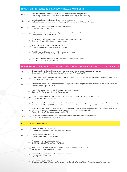### PRODUCTION AND PROCESSING OF PAINTS, COATINGS AND PRINTING INKS

| $08.30 - 09.15$ | How simulations can assist the design and optimization of dispersion processes<br>Prof. Dr.-Ing. Carsten Schilde   IPAT Institute for Particle Technology, TU Braunschweig |
|-----------------|----------------------------------------------------------------------------------------------------------------------------------------------------------------------------|
| $09.15 - 09.45$ | Versatile production of silica glass flakes in stirred media mills<br>M. Sc. Julian Esper   Institute of Particle Technology Erlangen (LFG), FAU Erlangen-Nürnberg         |
| $09.45 - 10.15$ | Selection of the optimum bead mill for paint production<br>Dr. Jan Berg   BASF Coatings GmbH                                                                               |
| $11.00 - 11.30$ | Performance improvement of pigment preparations via intensified milling<br>Dr. Stephan Blöß   Heubach GmbH                                                                 |
| $11.30 - 12.00$ | Fine ceramic beads to get nanoparticles - more than just an auxiliary good<br>Dr. rer. nat. Achim Müller   Sigmund Lindner GmbH                                            |
| 12.00 - 12.30   | New media for ultra-fine dispersing and milling<br>Dr. David Bouttes   Saint Gobain Research Provence                                                                      |
| 14.30 - 15.00   | Possibilities and difficulties in using rCB (recycling carbon black)<br>Christian Sieblist   Harold Scholz & Co. GmbH                                                      |
| 15.00 - 15.30   | Recycling of solvents using distillation – principle, profitability and integration<br>David Roth   OFRU Recycling GmbH & Co. KG                                           |

#### CHARACTERIZATION AND PARTICLE SIZE DISTRIBUTION - FORMULATIONS, FUNCTIONALIZATION THROUGH ADDITIVES

| $08.30 - 09.15$ | Characterization of the particle size in submicron and nanometer range during dispersion processes<br>Dr.-Ing. Felipe Wolff-Fabris   European Centre for Dispersion Technologies (EZD)                                                                                    |
|-----------------|---------------------------------------------------------------------------------------------------------------------------------------------------------------------------------------------------------------------------------------------------------------------------|
| $09.15 - 09.45$ | Combination of laser diffraction and dynamic image analysis for size and shape characterization of dispersions and powders<br>Dr. Thomas Benen   Microtrac GmbH                                                                                                           |
| $09.45 - 10.15$ | Inline characterization of particle size and shape for process control using the example of battery slurries and cocoa liquor<br>Dr. Mirco Wegener   SOPAT GmbH                                                                                                           |
| $11.00 - 11.30$ | Powder rheology as a method for development and quality control<br>Dipl.-Ing. (FH) Daniel Löser   Freeman Technology Ltd.                                                                                                                                                 |
| 11.30 - 12.00   | A multi-method approach to quality control illustrated on the industrial powder coating process<br>Dr. Timothy Aschl   Anton Paar GmbH                                                                                                                                    |
| $12.00 - 12.30$ | Alternative route for incorporation of an ethanol-based silica suspension in epoxy resin by means of spray-drying technology<br>M Sc. Martin Mühlbach   SKZ-KFE qGmbH / European Centre for Dispersion Technologies (EZD)                                                 |
|                 | Physicochemical characteristics of fine iron oxide-particles prepared via pulsation reactor and study the effect of<br>14.30 - 15.00 the material processing parameter on the properties of the produced powder<br>Prof. Dr. Tarek Khalil   IBU-tec advanced materials AG |
| 15.00 - 15.30   | Dry powder measurements with laser diffraction on the example of pigments and extenders<br>Andreas Ludwig   Malvern Panalytical GmbH                                                                                                                                      |
|                 | <b>BASIC COURSES &amp; WORKSHOPS</b>                                                                                                                                                                                                                                      |
| $08.30 - 09.15$ | nanolnk - more than just colours<br>Dr. Justus Hermannsdörfer   Nanoinitiative Bayern GmbH                                                                                                                                                                                |
| $09.15 - 10.15$ | Color measurement techniques<br>Dr. Linda Mittelberg   SKZ-KFE gGmbH                                                                                                                                                                                                      |
| $11.00 - 12.00$ | A basic quide to particle characterization<br>Dr. Mark Wingfield   Malvern Panalytical GmbH                                                                                                                                                                               |
| $12.00 - 12.30$ | Pump Search 4.0 – SPA the new information platform for professional pump users<br>Kai Stegemann   Star Pump Alliance GmbH                                                                                                                                                 |

- 
- 14.30 15.00 Transition from regular to modular production concepts *Dipl.-Ing. Frank Kother | TMC*
- 

15.00 - 15.30 Open discussion with experts *Dr.-Ing. Stefan Mende, Michael Rappl, Frank Kleinsteinberg, Dr. Ekkehard Füglein, Torsten Remmler, Kai Stegemann*